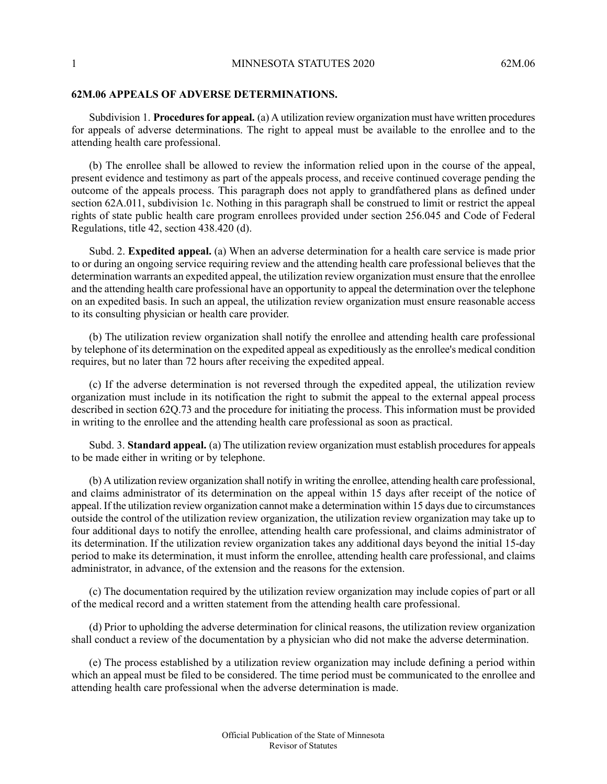## **62M.06 APPEALS OF ADVERSE DETERMINATIONS.**

Subdivision 1. **Proceduresfor appeal.** (a) A utilization review organization must have written procedures for appeals of adverse determinations. The right to appeal must be available to the enrollee and to the attending health care professional.

(b) The enrollee shall be allowed to review the information relied upon in the course of the appeal, present evidence and testimony as part of the appeals process, and receive continued coverage pending the outcome of the appeals process. This paragraph does not apply to grandfathered plans as defined under section 62A.011, subdivision 1c. Nothing in this paragraph shall be construed to limit or restrict the appeal rights of state public health care program enrollees provided under section 256.045 and Code of Federal Regulations, title 42, section 438.420 (d).

Subd. 2. **Expedited appeal.** (a) When an adverse determination for a health care service is made prior to or during an ongoing service requiring review and the attending health care professional believes that the determination warrants an expedited appeal, the utilization review organization must ensure that the enrollee and the attending health care professional have an opportunity to appeal the determination over the telephone on an expedited basis. In such an appeal, the utilization review organization must ensure reasonable access to its consulting physician or health care provider.

(b) The utilization review organization shall notify the enrollee and attending health care professional by telephone of its determination on the expedited appeal as expeditiously as the enrollee's medical condition requires, but no later than 72 hours after receiving the expedited appeal.

(c) If the adverse determination is not reversed through the expedited appeal, the utilization review organization must include in its notification the right to submit the appeal to the external appeal process described in section 62Q.73 and the procedure for initiating the process. This information must be provided in writing to the enrollee and the attending health care professional as soon as practical.

Subd. 3. **Standard appeal.** (a) The utilization review organization must establish procedures for appeals to be made either in writing or by telephone.

(b) A utilization review organization shall notify in writing the enrollee, attending health care professional, and claims administrator of its determination on the appeal within 15 days after receipt of the notice of appeal. If the utilization review organization cannot make a determination within 15 days due to circumstances outside the control of the utilization review organization, the utilization review organization may take up to four additional days to notify the enrollee, attending health care professional, and claims administrator of its determination. If the utilization review organization takes any additional days beyond the initial 15-day period to make its determination, it must inform the enrollee, attending health care professional, and claims administrator, in advance, of the extension and the reasons for the extension.

(c) The documentation required by the utilization review organization may include copies of part or all of the medical record and a written statement from the attending health care professional.

(d) Prior to upholding the adverse determination for clinical reasons, the utilization review organization shall conduct a review of the documentation by a physician who did not make the adverse determination.

(e) The process established by a utilization review organization may include defining a period within which an appeal must be filed to be considered. The time period must be communicated to the enrollee and attending health care professional when the adverse determination is made.